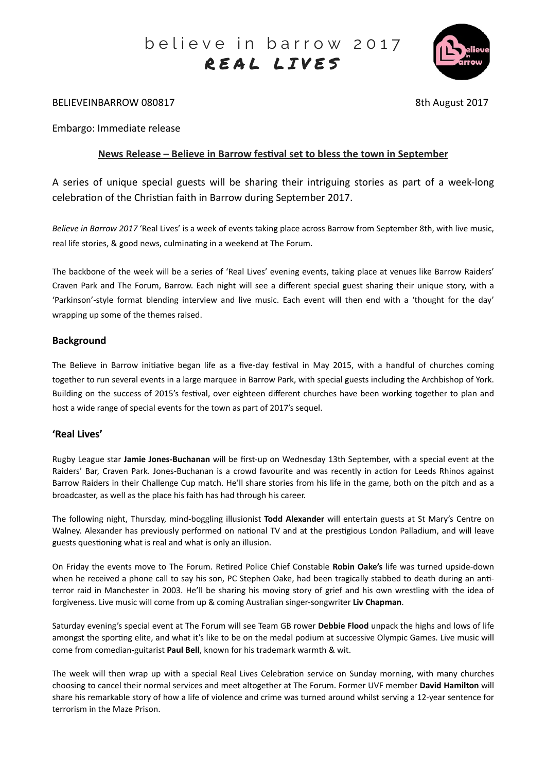

## BELIEVEINBARROW 080817 8th August 2017

Embargo: Immediate release

## **News Release – Believe in Barrow festival set to bless the town in September**

A series of unique special guests will be sharing their intriguing stories as part of a week-long celebration of the Christian faith in Barrow during September 2017.

*Believe in Barrow 2017* 'Real Lives' is a week of events taking place across Barrow from September 8th, with live music, real life stories, & good news, culminating in a weekend at The Forum.

The backbone of the week will be a series of 'Real Lives' evening events, taking place at venues like Barrow Raiders' Craven Park and The Forum, Barrow. Each night will see a different special guest sharing their unique story, with a 'Parkinson'-style format blending interview and live music. Each event will then end with a 'thought for the day' wrapping up some of the themes raised.

## **Background**

The Believe in Barrow initiative began life as a five-day festival in May 2015, with a handful of churches coming together to run several events in a large marquee in Barrow Park, with special guests including the Archbishop of York. Building on the success of 2015's festival, over eighteen different churches have been working together to plan and host a wide range of special events for the town as part of 2017's sequel.

# **'Real Lives'**

Rugby League star **Jamie Jones-Buchanan** will be first-up on Wednesday 13th September, with a special event at the Raiders' Bar, Craven Park. Jones-Buchanan is a crowd favourite and was recently in action for Leeds Rhinos against Barrow Raiders in their Challenge Cup match. He'll share stories from his life in the game, both on the pitch and as a broadcaster, as well as the place his faith has had through his career.

The following night, Thursday, mind-boggling illusionist Todd Alexander will entertain guests at St Mary's Centre on Walney. Alexander has previously performed on national TV and at the prestigious London Palladium, and will leave guests questioning what is real and what is only an illusion.

On Friday the events move to The Forum. Retired Police Chief Constable **Robin Oake's** life was turned upside-down when he received a phone call to say his son, PC Stephen Oake, had been tragically stabbed to death during an antiterror raid in Manchester in 2003. He'll be sharing his moving story of grief and his own wrestling with the idea of forgiveness. Live music will come from up & coming Australian singer-songwriter Liv Chapman.

Saturday evening's special event at The Forum will see Team GB rower Debbie Flood unpack the highs and lows of life amongst the sporting elite, and what it's like to be on the medal podium at successive Olympic Games. Live music will come from comedian-guitarist **Paul Bell**, known for his trademark warmth & wit.

The week will then wrap up with a special Real Lives Celebration service on Sunday morning, with many churches choosing to cancel their normal services and meet altogether at The Forum. Former UVF member David Hamilton will share his remarkable story of how a life of violence and crime was turned around whilst serving a 12-year sentence for terrorism in the Maze Prison.